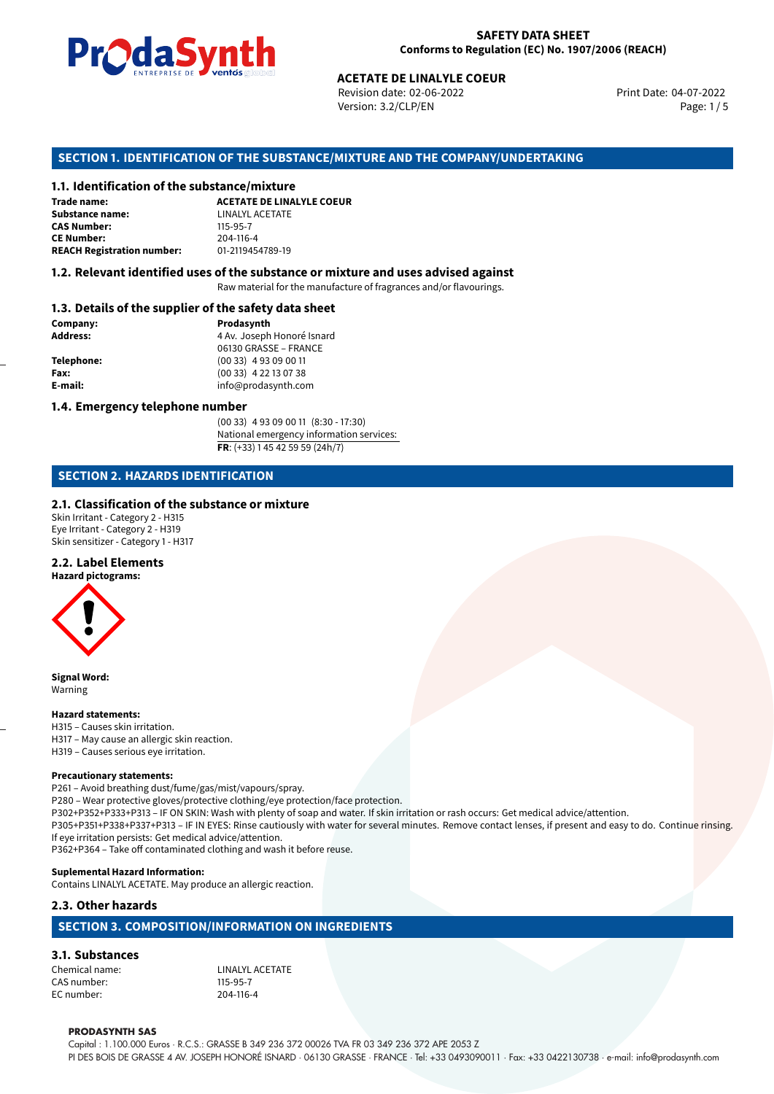

Revision date: 02-06-2022 Version: 3.2/CLP/EN Page: 1 / 5

Print Date: 04-07-2022

# **ACETATE DE LINALYLE COEUR**<br>
Revision date: 02-06-2022<br>
Version: 3.2/CLP/EN<br> **OF THE SUBSTANCE/MIXTURE AND THE COMPANY/L<br>
tance/mixture<br>
ACETATE DE LINALYLE COEUR SECTION 1. IDENTIFICATION OF THE SUBSTANCE/MIXTURE AND THE COMPANY/UNDERTAKING**

#### **1.1. Identification of the substance/mixture**

**Trade name: Substance name:** LINALYL ACETATE<br> **CAS Number:** 115-95-7 **CAS Number: CE Number:** 204-116-4<br>**REACH Registration number:** 01-2119454789-19 **REACH Registration number:** 

**1.2. Relevant identified uses of the substance or mixture and uses advised against**

Raw material for the manufacture of fragrances and/or flavourings.

#### **1.3. Details of the supplier of the safety data sheet**

| Company:   | Prodasynth                 |  |
|------------|----------------------------|--|
| Address:   | 4 Av. Joseph Honoré Isnard |  |
|            | 06130 GRASSE - FRANCE      |  |
| Telephone: | $(0033)$ 4 93 09 00 11     |  |
| Fax:       | $(0033)$ 4 22 13 07 38     |  |
| E-mail:    | info@prodasynth.com        |  |
|            |                            |  |

#### **1.4. Emergency telephone number**

(00 33) 4 93 09 00 11 (8:30 - 17:30) National emergency information services: **FR**: (+33) 1 45 42 59 59 (24h/7)

#### **SECTION 2. HAZARDS IDENTIFICATION**

#### **2.1. Classification of the substance or mixture**

Skin Irritant - Category 2 - H315 Eye Irritant - Category 2 - H319 Skin sensitizer - Category 1 - H317

#### **2.2. Label Elements**

**Hazard pictograms:**



**Signal Word:** Warning

#### **Hazard statements:**

H315 – Causes skin irritation. H317 – May cause an allergic skin reaction. H319 – Causes serious eye irritation.

#### **Precautionary statements:**

P261 – Avoid breathing dust/fume/gas/mist/vapours/spray. P280 – Wear protective gloves/protective clothing/eye protection/face protection. P302+P352+P333+P313 – IF ON SKIN: Wash with plenty of soap and water. If skin irritation or rash occurs: Get medical advice/attention. P305+P351+P338+P337+P313 – IF IN EYES: Rinse cautiously with water for several minutes. Remove contact lenses, if present and easy to do. Continue rinsing. If eye irritation persists: Get medical advice/attention.

P362+P364 – Take off contaminated clothing and wash it before reuse.

#### **Suplemental Hazard Information:**

Contains LINALYL ACETATE. May produce an allergic reaction.

#### **2.3. Other hazards**

#### **SECTION 3. COMPOSITION/INFORMATION ON INGREDIENTS**

**3.1. Substances** Chemical name: LINALYL ACETATE CAS number: 115-95-7 EC number: 204-116-4

#### **PRODASYNTH SAS**

Capital : 1.100.000 Euros · R.C.S.: GRASSE B 349 236 372 00026 TVA FR 03 349 236 372 APE 2053 Z PI DES BOIS DE GRASSE 4 AV. JOSEPH HONORÉ ISNARD · 06130 GRASSE · FRANCE · Tel: +33 0493090011 · Fax: +33 0422130738 · e-mail: info@prodasynth.com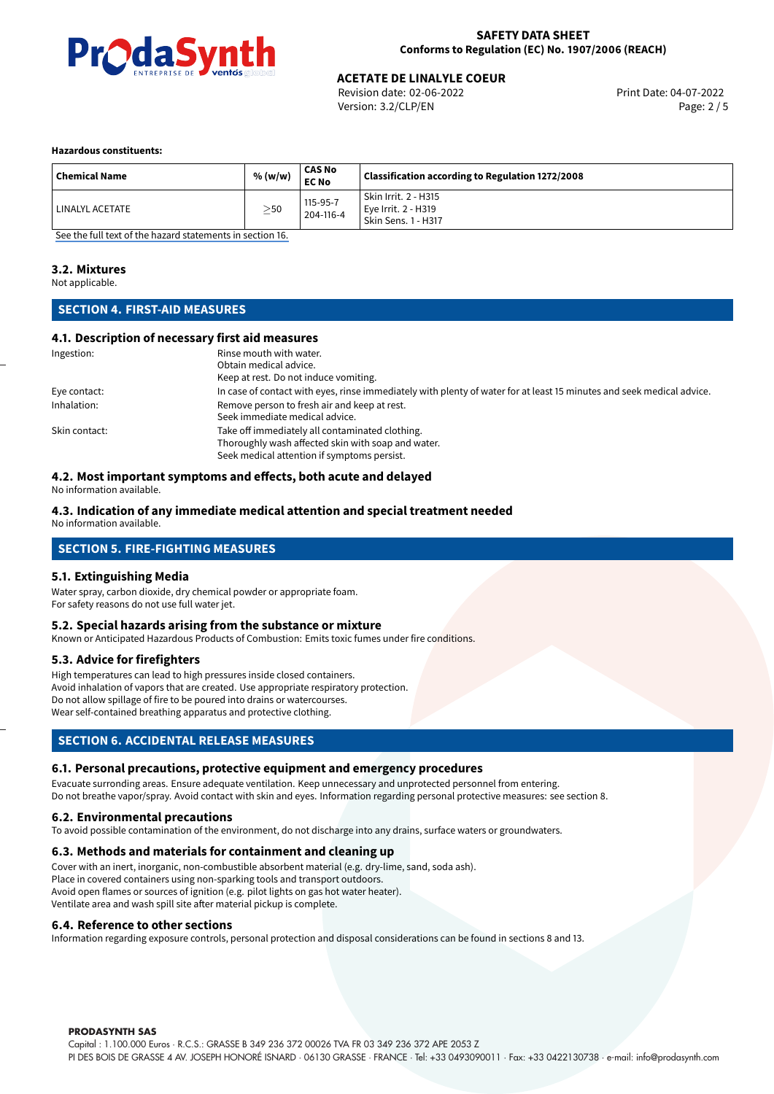

Revision date: 02-06-2022 Version: 3.2/CLP/EN Page: 2 / 5

#### **Hazardous constituents:**

| <b>Chemical Name</b> | % (w/w)   | <b>CAS No</b><br><b>EC No</b> | Classification according to Regulation 1272/2008                          |
|----------------------|-----------|-------------------------------|---------------------------------------------------------------------------|
| LINALYL ACETATE      | $\geq$ 50 | 115-95-7<br>204-116-4         | Skin Irrit. 2 - H315<br>Eve Irrit. 2 - H319<br><b>Skin Sens. 1 - H317</b> |

[See the full text of the hazard statements in section 16.](#page-4-0)

#### **3.2. Mixtures**

Not applicable.

#### **SECTION 4. FIRST-AID MEASURES**

#### **4.1. Description of necessary first aid measures**

| Ingestion:    | Rinse mouth with water.                                                                                               |
|---------------|-----------------------------------------------------------------------------------------------------------------------|
|               | Obtain medical advice.                                                                                                |
|               | Keep at rest. Do not induce vomiting.                                                                                 |
| Eye contact:  | In case of contact with eyes, rinse immediately with plenty of water for at least 15 minutes and seek medical advice. |
| Inhalation:   | Remove person to fresh air and keep at rest.                                                                          |
|               | Seek immediate medical advice.                                                                                        |
| Skin contact: | Take off immediately all contaminated clothing.                                                                       |
|               | Thoroughly wash affected skin with soap and water.                                                                    |
|               | Seek medical attention if symptoms persist.                                                                           |

#### **4.2. Most important symptoms and effects, both acute and delayed**

No information available.

#### **4.3. Indication of any immediate medical attention and special treatment needed**

No information available.

#### **SECTION 5. FIRE-FIGHTING MEASURES**

#### **5.1. Extinguishing Media**

Water spray, carbon dioxide, dry chemical powder or appropriate foam. For safety reasons do not use full water jet.

#### **5.2. Special hazards arising from the substance or mixture**

Known or Anticipated Hazardous Products of Combustion: Emits toxic fumes under fire conditions.

#### **5.3. Advice for firefighters**

High temperatures can lead to high pressures inside closed containers. Avoid inhalation of vapors that are created. Use appropriate respiratory protection. Do not allow spillage of fire to be poured into drains or watercourses. Wear self-contained breathing apparatus and protective clothing.

#### **SECTION 6. ACCIDENTAL RELEASE MEASURES**

#### **6.1. Personal precautions, protective equipment and emergency procedures**

Evacuate surronding areas. Ensure adequate ventilation. Keep unnecessary and unprotected personnel from entering. Do not breathe vapor/spray. Avoid contact with skin and eyes. Information regarding personal protective measures: see section 8.

#### **6.2. Environmental precautions**

To avoid possible contamination of the environment, do not discharge into any drains, surface waters or groundwaters.

#### **6.3. Methods and materials for containment and cleaning up**

Cover with an inert, inorganic, non-combustible absorbent material (e.g. dry-lime, sand, soda ash). Place in covered containers using non-sparking tools and transport outdoors. Avoid open flames or sources of ignition (e.g. pilot lights on gas hot water heater). Ventilate area and wash spill site after material pickup is complete.

#### **6.4. Reference to other sections**

Information regarding exposure controls, personal protection and disposal considerations can be found in sections 8 and 13.

#### **PRODASYNTH SAS**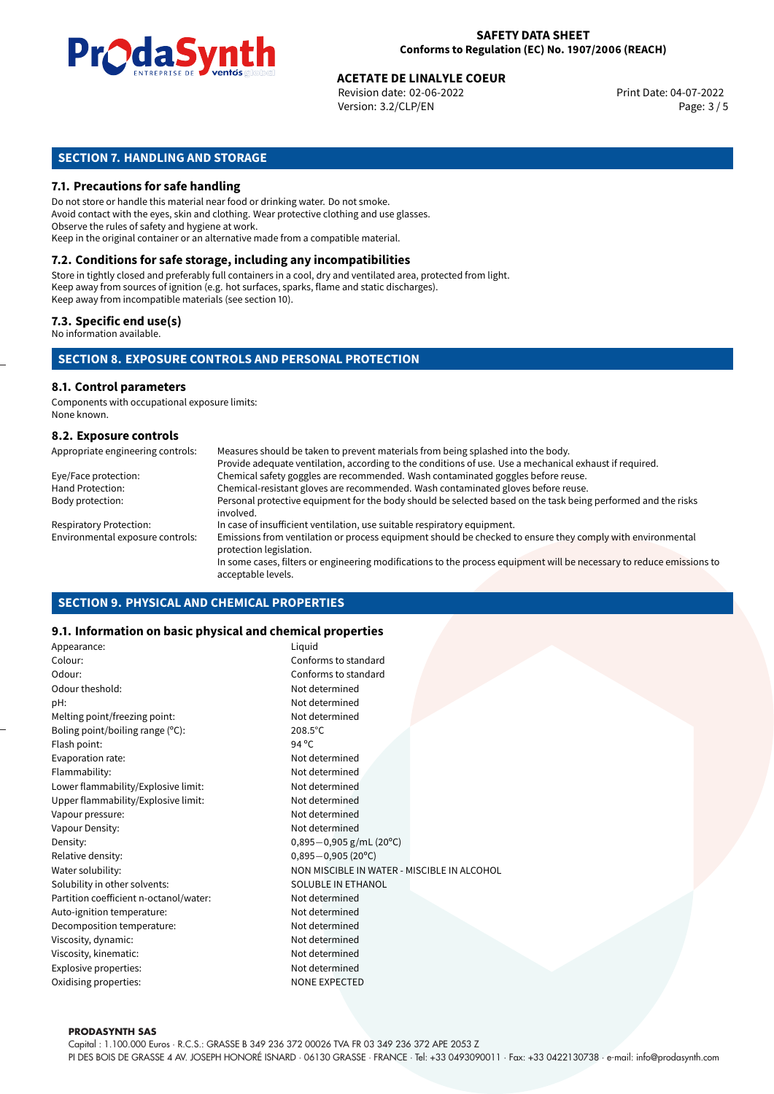

Revision date: 02-06-2022 Version: 3.2/CLP/EN Page: 3 / 5

#### **SECTION 7. HANDLING AND STORAGE**

#### **7.1. Precautions for safe handling**

Do not store or handle this material near food or drinking water. Do not smoke. Avoid contact with the eyes, skin and clothing. Wear protective clothing and use glasses. Observe the rules of safety and hygiene at work. Keep in the original container or an alternative made from a compatible material.

### **7.2. Conditions for safe storage, including any incompatibilities**

Store in tightly closed and preferably full containers in a cool, dry and ventilated area, protected from light. Keep away from sources of ignition (e.g. hot surfaces, sparks, flame and static discharges). Keep away from incompatible materials (see section 10).

#### **7.3. Specific end use(s)**

No information available.

#### **SECTION 8. EXPOSURE CONTROLS AND PERSONAL PROTECTION**

#### **8.1. Control parameters**

Components with occupational exposure limits: None known.

#### **8.2. Exposure controls**

| Appropriate engineering controls: | Measures should be taken to prevent materials from being splashed into the body.                                                            |
|-----------------------------------|---------------------------------------------------------------------------------------------------------------------------------------------|
|                                   | Provide adequate ventilation, according to the conditions of use. Use a mechanical exhaust if required.                                     |
| Eye/Face protection:              | Chemical safety goggles are recommended. Wash contaminated goggles before reuse.                                                            |
| Hand Protection:                  | Chemical-resistant gloves are recommended. Wash contaminated gloves before reuse.                                                           |
| Body protection:                  | Personal protective equipment for the body should be selected based on the task being performed and the risks<br>involved.                  |
| <b>Respiratory Protection:</b>    | In case of insufficient ventilation, use suitable respiratory equipment.                                                                    |
| Environmental exposure controls:  | Emissions from ventilation or process equipment should be checked to ensure they comply with environmental<br>protection legislation.       |
|                                   | In some cases, filters or engineering modifications to the process equipment will be necessary to reduce emissions to<br>acceptable levels. |

#### **SECTION 9. PHYSICAL AND CHEMICAL PROPERTIES**

#### **9.1. Information on basic physical and chemical properties**

| Appearance:                            | Liquid                                      |
|----------------------------------------|---------------------------------------------|
| Colour:                                | Conforms to standard                        |
| Odour:                                 | Conforms to standard                        |
| Odour theshold:                        | Not determined                              |
| pH:                                    | Not determined                              |
| Melting point/freezing point:          | Not determined                              |
| Boling point/boiling range (°C):       | $208.5^{\circ}$ C                           |
| Flash point:                           | 94 °C                                       |
| Evaporation rate:                      | Not determined                              |
| Flammability:                          | Not determined                              |
| Lower flammability/Explosive limit:    | Not determined                              |
| Upper flammability/Explosive limit:    | Not determined                              |
| Vapour pressure:                       | Not determined                              |
| Vapour Density:                        | Not determined                              |
| Density:                               | $0,895-0,905$ g/mL (20°C)                   |
| Relative density:                      | $0,895 - 0,905(20^{\circ}C)$                |
| Water solubility:                      | NON MISCIBLE IN WATER - MISCIBLE IN ALCOHOL |
| Solubility in other solvents:          | SOLUBLE IN ETHANOL                          |
| Partition coefficient n-octanol/water: | Not determined                              |
| Auto-ignition temperature:             | Not determined                              |
| Decomposition temperature:             | Not determined                              |
| Viscosity, dynamic:                    | Not determined                              |
| Viscosity, kinematic:                  | Not determined                              |
| Explosive properties:                  | Not determined                              |
| Oxidising properties:                  | <b>NONE EXPECTED</b>                        |
|                                        |                                             |

#### **PRODASYNTH SAS**

Capital : 1.100.000 Euros · R.C.S.: GRASSE B 349 236 372 00026 TVA FR 03 349 236 372 APE 2053 Z PI DES BOIS DE GRASSE 4 AV. JOSEPH HONORÉ ISNARD · 06130 GRASSE · FRANCE · Tel: +33 0493090011 · Fax: +33 0422130738 · e-mail: info@prodasynth.com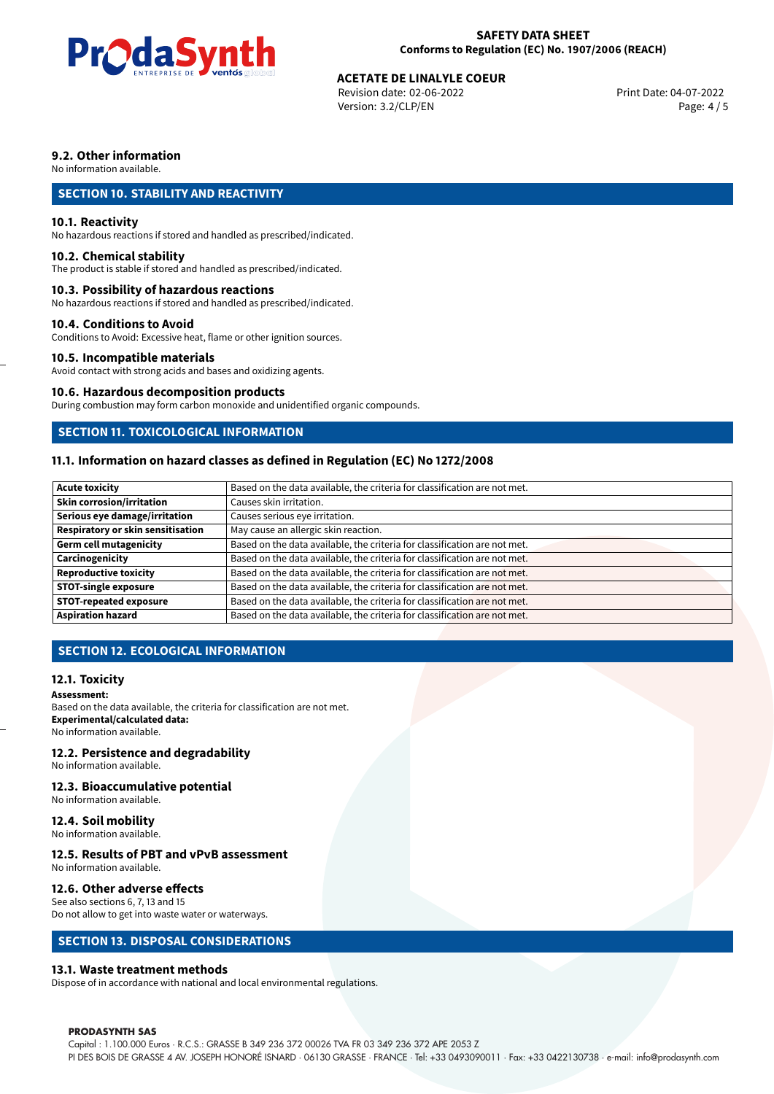

Revision date: 02-06-2022 Version: 3.2/CLP/EN Page: 4 / 5

#### **9.2. Other information**

No information available.

#### **SECTION 10. STABILITY AND REACTIVITY**

#### **10.1. Reactivity**

No hazardous reactions if stored and handled as prescribed/indicated.

#### **10.2. Chemical stability**

The product is stable if stored and handled as prescribed/indicated.

#### **10.3. Possibility of hazardous reactions**

No hazardous reactions if stored and handled as prescribed/indicated.

#### **10.4. Conditions to Avoid**

Conditions to Avoid: Excessive heat, flame or other ignition sources.

#### **10.5. Incompatible materials**

Avoid contact with strong acids and bases and oxidizing agents.

#### **10.6. Hazardous decomposition products**

During combustion may form carbon monoxide and unidentified organic compounds.

#### **SECTION 11. TOXICOLOGICAL INFORMATION**

#### **11.1. Information on hazard classes as defined in Regulation (EC) No 1272/2008**

| <b>Acute toxicity</b>             | Based on the data available, the criteria for classification are not met. |
|-----------------------------------|---------------------------------------------------------------------------|
| Skin corrosion/irritation         | Causes skin irritation.                                                   |
| Serious eye damage/irritation     | Causes serious eye irritation.                                            |
| Respiratory or skin sensitisation | May cause an allergic skin reaction.                                      |
| Germ cell mutagenicity            | Based on the data available, the criteria for classification are not met. |
| <b>Carcinogenicity</b>            | Based on the data available, the criteria for classification are not met. |
| Reproductive toxicity             | Based on the data available, the criteria for classification are not met. |
| STOT-single exposure              | Based on the data available, the criteria for classification are not met. |
| <b>STOT-repeated exposure</b>     | Based on the data available, the criteria for classification are not met. |
| <b>Aspiration hazard</b>          | Based on the data available, the criteria for classification are not met. |

#### **SECTION 12. ECOLOGICAL INFORMATION**

#### **12.1. Toxicity**

**Assessment:**

Based on the data available, the criteria for classification are not met. **Experimental/calculated data:** No information available.

#### **12.2. Persistence and degradability**

No information available.

#### **12.3. Bioaccumulative potential**

No information available.

#### **12.4. Soil mobility**

No information available.

#### **12.5. Results of PBT and vPvB assessment**

No information available.

#### **12.6. Other adverse effects**

See also sections 6, 7, 13 and 15 Do not allow to get into waste water or waterways.

#### **SECTION 13. DISPOSAL CONSIDERATIONS**

#### **13.1. Waste treatment methods**

Dispose of in accordance with national and local environmental regulations.

#### **PRODASYNTH SAS**

Capital : 1.100.000 Euros · R.C.S.: GRASSE B 349 236 372 00026 TVA FR 03 349 236 372 APE 2053 Z PI DES BOIS DE GRASSE 4 AV. JOSEPH HONORÉ ISNARD · 06130 GRASSE · FRANCE · Tel: +33 0493090011 · Fax: +33 0422130738 · e-mail: info@prodasynth.com